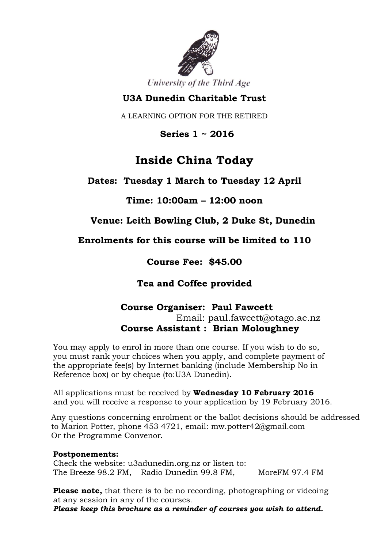

University of the Third Age

### **U3A Dunedin Charitable Trust**

A LEARNING OPTION FOR THE RETIRED

 **Series 1 ~ 2016**

# **Inside China Today**

**Dates: Tuesday 1 March to Tuesday 12 April**

**Time: 10:00am – 12:00 noon**

**Venue: Leith Bowling Club, 2 Duke St, Dunedin**

**Enrolments for this course will be limited to 110**

**Course Fee: \$45.00**

**Tea and Coffee provided**

#### **Course Organiser: Paul Fawcett** Email: paul.fawcett@otago.ac.nz **Course Assistant : Brian Moloughney**

You may apply to enrol in more than one course. If you wish to do so, you must rank your choices when you apply, and complete payment of the appropriate fee(s) by Internet banking (include Membership No in Reference box) or by cheque (to:U3A Dunedin).

All applications must be received by **Wednesday 10 February 2016** and you will receive a response to your application by 19 February 2016.

Any questions concerning enrolment or the ballot decisions should be addressed to Marion Potter, phone 453 4721, email: mw.potter42@gmail.com Or the Programme Convenor.

#### **Postponements:**

Check the website: u3adunedin.org.nz or listen to: The Breeze 98.2 FM, Radio Dunedin 99.8 FM, MoreFM 97.4 FM

**Please note,** that there is to be no recording, photographing or videoing at any session in any of the courses.

*Please keep this brochure as a reminder of courses you wish to attend.*